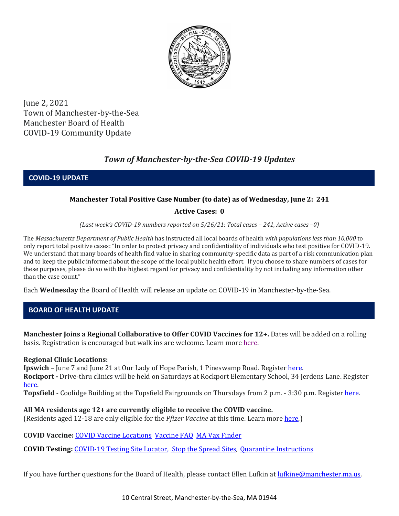

June 2, 2021 Town of Manchester-by-the-Sea Manchester Board of Health COVID-19 Community Update

# *Town of Manchester-by-the-Sea COVID-19 Updates*

**COVID-19 UPDATE**

## **Manchester Total Positive Case Number (to date) as of Wednesday, June 2: 241**

## **Active Cases: 0**

*(Last week's COVID-19 numbers reported on 5/26/21: Total cases – 241, Active cases –0)*

The *Massachusetts Department of Public Health* has instructed all local boards of health *with populations less than 10,000* to only report total positive cases: "In order to protect privacy and confidentiality of individuals who test positive for COVID-19. We understand that many boards of health find value in sharing community-specific data as part of a risk communication plan and to keep the public informed about the scope of the local public health effort. If you choose to share numbers of cases for these purposes, please do so with the highest regard for privacy and confidentiality by not including any information other than the case count."

Each **Wednesday** the Board of Health will release an update on COVID-19 in Manchester-by-the-Sea.

# **BOARD OF HEALTH UPDATE**

**Manchester Joins a Regional Collaborative to Offer COVID Vaccines for 12+.** Dates will be added on a rolling basis. Registration is encouraged but walk ins are welcome. Learn mor[e here.](http://manchester.ma.us/DocumentCenter/View/3927/COVID-Clinic-Regional-Collaboration)

#### **Regional Clinic Locations:**

**Ipswich –** June 7 and June 21 at Our Lady of Hope Parish, 1 Pineswamp Road. Registe[r here.](https://vaxfinder.mass.gov/locations/ipswich-our-lady-of-hope-parish-church/) **Rockport -** Drive-thru clinics will be held on Saturdays at Rockport Elementary School, 34 Jerdens Lane. Register [here.](https://vaxfinder.mass.gov/locations/rockport-rockport-elementary-school/)

**Topsfield -** Coolidge Building at the Topsfield Fairgrounds on Thursdays from 2 p.m. - 3:30 p.m. Registe[r here.](https://vaxfinder.mass.gov/locations/topsfield-topsfield-fairgrounds-coolidge-hall/)

## **All MA residents age 12+ are currently eligible to receive the COVID vaccine.**

(Residents aged 12-18 are only eligible for the *Pfizer Vaccine* at this time. Learn mor[e here.](https://www.mass.gov/info-details/covid-19-vaccinations-for-people-under-age-18))

**COVID Vaccine:** [COVID Vaccine Locations](https://www.mass.gov/info-details/preregister-for-a-covid-19-vaccine-appointment) [Vaccine FAQ](https://www.mass.gov/info-details/preregister-for-a-covid-19-vaccine-appointment) [MA Vax Finder](https://www.mass.gov/info-details/preregister-for-a-covid-19-vaccine-appointment)

**COVID Testing:** [COVID-19 Testing Site Locator,](https://memamaps.maps.arcgis.com/apps/webappviewer/index.html?id=eba3f0395451430b9f631cb095febf13) [Stop the Spread Sites](https://www.mass.gov/info-details/stop-the-spread)*,* [Quarantine Instructions](http://manchester.ma.us/DocumentCenter/View/3558/14-10-7-day-COVID19_Quarantine-information-1272020)

If you have further questions for the Board of Health, please contact Ellen Lufkin at [lufkine@manchester.ma.us.](mailto:lufkine@manchester.ma.us)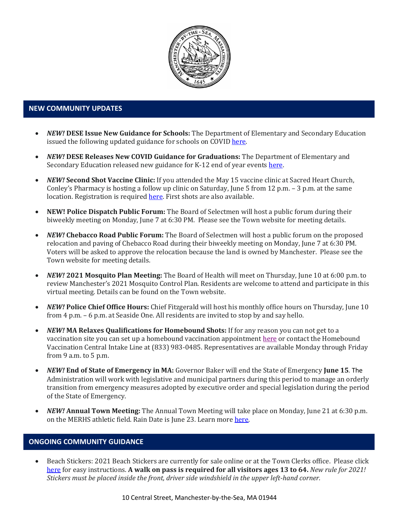

### **NEW COMMUNITY UPDATES**

- *NEW!* **DESE Issue New Guidance for Schools:** The Department of Elementary and Secondary Education issued the following updated guidance for schools on COVID [here.](https://www.doe.mass.edu/covid19/on-desktop/covid19-guide-updates.pdf)
- *NEW!* **DESE Releases New COVID Guidance for Graduations:** The Department of Elementary and Secondary Education released new guidance for K-12 end of year event[s here.](https://www.doe.mass.edu/covid19/on-desktop/graduation-guide.pdf)
- *NEW!* **Second Shot Vaccine Clinic:** If you attended the May 15 vaccine clinic at Sacred Heart Church, Conley's Pharmacy is hosting a follow up clinic on Saturday, June 5 from 12 p.m. – 3 p.m. at the same location. Registration is required [here.](https://hipaa.jotform.com/211515077084149) First shots are also available.
- **NEW! Police Dispatch Public Forum:** The Board of Selectmen will host a public forum during their biweekly meeting on Monday, June 7 at 6:30 PM. Please see the Town website for meeting details.
- *NEW!* **Chebacco Road Public Forum:** The Board of Selectmen will host a public forum on the proposed relocation and paving of Chebacco Road during their biweekly meeting on Monday, June 7 at 6:30 PM. Voters will be asked to approve the relocation because the land is owned by Manchester. Please see the Town website for meeting details.
- *NEW!* **2021 Mosquito Plan Meeting:** The Board of Health will meet on Thursday, June 10 at 6:00 p.m. to review Manchester's 2021 Mosquito Control Plan. Residents are welcome to attend and participate in this virtual meeting. Details can be found on the Town website.
- *NEW!* **Police Chief Office Hours:** Chief Fitzgerald will host his monthly office hours on Thursday, June 10 from 4 p.m. – 6 p.m. at Seaside One. All residents are invited to stop by and say hello.
- *NEW!* **MA Relaxes Qualifications for Homebound Shots:** If for any reason you can not get to a vaccination site you can set up a homebound vaccination appointmen[t here](https://www.mass.gov/info-details/covid-19-homebound-vaccination-program) or contact the Homebound Vaccination Central Intake Line at (833) 983-0485. Representatives are available Monday through Friday from 9 a.m. to 5 p.m.
- *NEW!* **End of State of Emergency in MA:** Governor Baker will end the State of Emergency **June 15**. The Administration will work with legislative and municipal partners during this period to manage an orderly transition from emergency measures adopted by executive order and special legislation during the period of the State of Emergency.
- *NEW!* **Annual Town Meeting:** The Annual Town Meeting will take place on Monday, June 21 at 6:30 p.m. on the MERHS athletic field. Rain Date is June 23. Learn more here.

### **ONGOING COMMUNITY GUIDANCE**

• Beach Stickers: 2021 Beach Stickers are currently for sale online or at the Town Clerks office. Please click [here](http://manchester.ma.us/252/Beach-Resident-Parking-Stickers) for easy instructions. **A walk on pass is required for all visitors ages 13 to 64.** *New rule for 2021! Stickers must be placed inside the front, driver side windshield in the upper left-hand corner.*